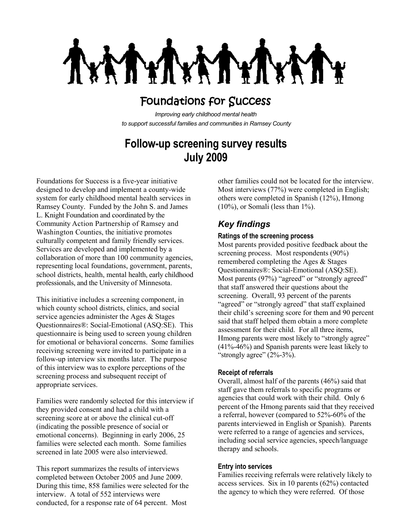**LAV** MY 1

# Foundations for Success

*Improving early childhood mental health to support successful families and communities in Ramsey County*

# **Follow-up screening survey results July 2009**

Foundations for Success is a five-year initiative designed to develop and implement a county-wide system for early childhood mental health services in Ramsey County. Funded by the John S. and James L. Knight Foundation and coordinated by the Community Action Partnership of Ramsey and Washington Counties, the initiative promotes culturally competent and family friendly services. Services are developed and implemented by a collaboration of more than 100 community agencies, representing local foundations, government, parents, school districts, health, mental health, early childhood professionals, and the University of Minnesota.

This initiative includes a screening component, in which county school districts, clinics, and social service agencies administer the Ages & Stages Questionnaires®: Social-Emotional (ASQ:SE). This questionnaire is being used to screen young children for emotional or behavioral concerns. Some families receiving screening were invited to participate in a follow-up interview six months later. The purpose of this interview was to explore perceptions of the screening process and subsequent receipt of appropriate services.

Families were randomly selected for this interview if they provided consent and had a child with a screening score at or above the clinical cut-off (indicating the possible presence of social or emotional concerns). Beginning in early 2006, 25 families were selected each month. Some families screened in late 2005 were also interviewed.

This report summarizes the results of interviews completed between October 2005 and June 2009. During this time, 858 families were selected for the interview. A total of 552 interviews were conducted, for a response rate of 64 percent. Most

other families could not be located for the interview. Most interviews (77%) were completed in English; others were completed in Spanish (12%), Hmong  $(10\%)$ , or Somali (less than  $1\%$ ).

# *Key findings*

### **Ratings of the screening process**

Most parents provided positive feedback about the screening process. Most respondents (90%) remembered completing the Ages & Stages Questionnaires®: Social-Emotional (ASQ:SE). Most parents (97%) "agreed" or "strongly agreed" that staff answered their questions about the screening. Overall, 93 percent of the parents "agreed" or "strongly agreed" that staff explained their child's screening score for them and 90 percent said that staff helped them obtain a more complete assessment for their child. For all three items, Hmong parents were most likely to "strongly agree" (41%-46%) and Spanish parents were least likely to "strongly agree"  $(2\% - 3\%)$ .

## **Receipt of referrals**

Overall, almost half of the parents (46%) said that staff gave them referrals to specific programs or agencies that could work with their child. Only 6 percent of the Hmong parents said that they received a referral, however (compared to 52%-60% of the parents interviewed in English or Spanish). Parents were referred to a range of agencies and services, including social service agencies, speech/language therapy and schools.

#### **Entry into services**

Families receiving referrals were relatively likely to access services. Six in 10 parents (62%) contacted the agency to which they were referred. Of those